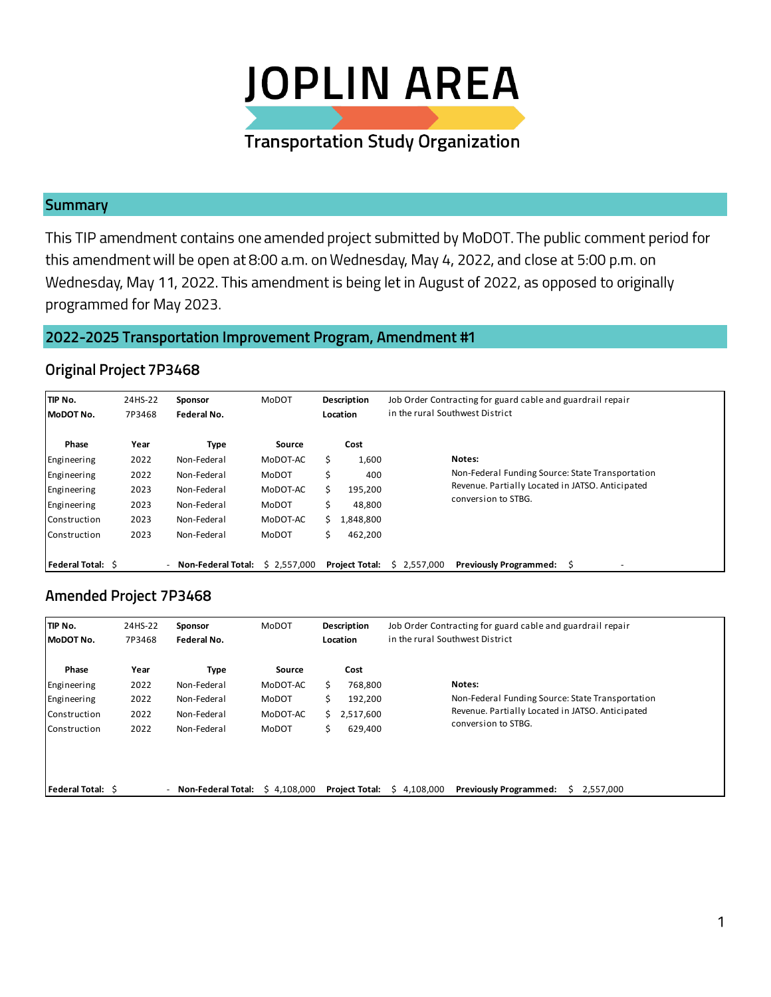

### **Summary**

This TIP amendment contains one amended project submitted by MoDOT. The public comment period for this amendment will be open at 8:00 a.m. on Wednesday, May 4, 2022, and close at 5:00 p.m. on Wednesday, May 11, 2022. This amendment is being let in August of 2022, as opposed to originally programmed for May 2023.

# 2022-2025 Transportation Improvement Program, Amendment #1

#### **Original Project 7P3468**

| TIP No.<br>24HS-22<br>7P3468<br>MoDOT No. |      | Sponsor<br>Federal No.    | MoDOT       | Description<br>Location |                       | Job Order Contracting for guard cable and guardrail repair<br>in the rural Southwest District |             |                                                  |  |  |  |
|-------------------------------------------|------|---------------------------|-------------|-------------------------|-----------------------|-----------------------------------------------------------------------------------------------|-------------|--------------------------------------------------|--|--|--|
| Phase                                     | Year | Type                      | Source      |                         | Cost                  |                                                                                               |             |                                                  |  |  |  |
| Engineering                               | 2022 | Non-Federal               | MoDOT-AC    |                         | 1,600                 |                                                                                               |             | Notes:                                           |  |  |  |
| Engineering                               | 2022 | Non-Federal               | MoDOT       |                         | 400                   |                                                                                               |             | Non-Federal Funding Source: State Transportation |  |  |  |
| Engineering                               | 2023 | Non-Federal               | MoDOT-AC    |                         | 195,200               |                                                                                               |             | Revenue. Partially Located in JATSO. Anticipated |  |  |  |
| Engineering                               | 2023 | Non-Federal               | MoDOT       |                         | 48,800                |                                                                                               |             | conversion to STBG.                              |  |  |  |
| Construction                              | 2023 | Non-Federal               | MoDOT-AC    | Ś.                      | 1,848,800             |                                                                                               |             |                                                  |  |  |  |
| Construction                              | 2023 | Non-Federal               | MoDOT       |                         | 462,200               |                                                                                               |             |                                                  |  |  |  |
| <b>Federal Total: S</b>                   |      | <b>Non-Federal Total:</b> | \$2,557,000 |                         | <b>Project Total:</b> |                                                                                               | \$2,557,000 | <b>Previously Programmed:</b>                    |  |  |  |

## **Amended Project 7P3468**

| TIP No.<br>MoDOT No. | 24HS-22<br>Sponsor<br>7P3468<br>Federal No. |                                                       | <b>MoDOT</b><br>Description<br>Location |    |                       | Job Order Contracting for guard cable and guardrail repair<br>in the rural Southwest District |                                                  |  |  |  |  |  |
|----------------------|---------------------------------------------|-------------------------------------------------------|-----------------------------------------|----|-----------------------|-----------------------------------------------------------------------------------------------|--------------------------------------------------|--|--|--|--|--|
| Phase                | Year                                        | Type                                                  | Source                                  |    | Cost                  |                                                                                               |                                                  |  |  |  |  |  |
| Engineering          | 2022                                        | Non-Federal                                           | MoDOT-AC                                | s  | 768,800               |                                                                                               | Notes:                                           |  |  |  |  |  |
| Engineering          | 2022                                        | Non-Federal                                           | MoDOT                                   |    | 192,200               |                                                                                               | Non-Federal Funding Source: State Transportation |  |  |  |  |  |
| Construction         | 2022                                        | Non-Federal                                           | MoDOT-AC                                | Ś. | 2,517,600             |                                                                                               | Revenue. Partially Located in JATSO. Anticipated |  |  |  |  |  |
| Construction         | 2022                                        | Non-Federal                                           | <b>MoDOT</b>                            | Ś  | 629,400               |                                                                                               | conversion to STBG.                              |  |  |  |  |  |
|                      |                                             |                                                       |                                         |    |                       |                                                                                               |                                                  |  |  |  |  |  |
| Federal Total: \$    |                                             | <b>Non-Federal Total:</b><br>$\overline{\phantom{0}}$ | \$4.108.000                             |    | <b>Project Total:</b> | \$4.108.000                                                                                   | <b>Previously Programmed:</b><br>2.557.000       |  |  |  |  |  |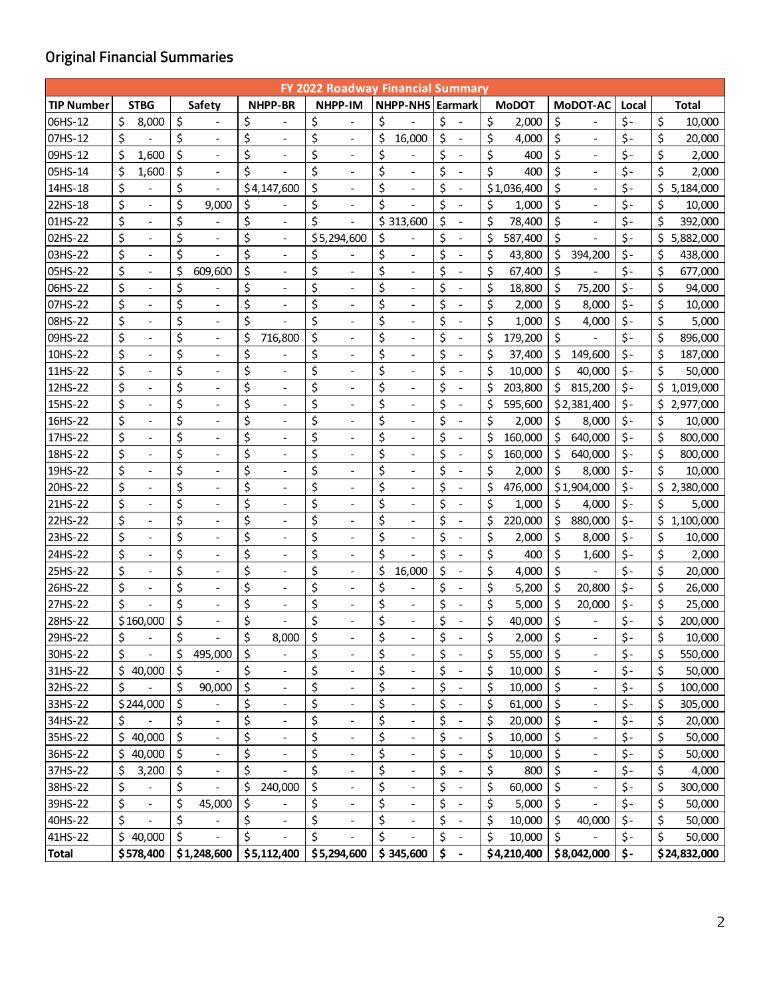# **Original Financial Summaries**

| <b>FY 2022 Roadway Financial Summary</b> |    |                          |    |                          |    |                                        |    |                          |    |                              |                                |               |         |                              |           |                 |
|------------------------------------------|----|--------------------------|----|--------------------------|----|----------------------------------------|----|--------------------------|----|------------------------------|--------------------------------|---------------|---------|------------------------------|-----------|-----------------|
| <b>TIP Number</b>                        |    | <b>STBG</b>              |    | <b>Safety</b>            |    | <b>NHPP-BR</b>                         |    | <b>NHPP-IM</b>           |    | NHPP-NHS Earmark             |                                | <b>MoDOT</b>  |         | MoDOT-AC                     | Local     | Total           |
| 06HS-12                                  | \$ | 8,000                    | \$ |                          | \$ |                                        | \$ |                          | \$ |                              | \$                             | \$<br>2,000   | \$      |                              | \$-       | \$<br>10,000    |
| 07HS-12                                  | \$ |                          | \$ | $\blacksquare$           | \$ | $\overline{a}$                         | \$ | $\overline{\phantom{a}}$ | \$ | 16,000                       | \$                             | \$<br>4,000   | \$      | $\overline{\phantom{a}}$     | \$-       | \$<br>20,000    |
| 09HS-12                                  | \$ | 1,600                    | \$ |                          | \$ |                                        | \$ |                          | \$ |                              | \$                             | \$<br>400     | \$      |                              | \$-       | \$<br>2,000     |
| 05HS-14                                  | \$ | 1,600                    | \$ | $\overline{\phantom{a}}$ | \$ | $\qquad \qquad \blacksquare$           | \$ | $\overline{\phantom{a}}$ | \$ | $\overline{\phantom{a}}$     | \$<br>$\overline{\phantom{a}}$ | \$<br>400     | \$      | $\overline{\phantom{a}}$     | \$-       | \$<br>2,000     |
| 14HS-18                                  | \$ |                          | \$ | $\overline{\phantom{a}}$ |    | \$4,147,600                            | \$ | $\overline{\phantom{a}}$ | \$ | $\overline{\phantom{a}}$     | \$<br>$\overline{\phantom{a}}$ | \$1,036,400   | \$      | $\overline{\phantom{a}}$     | \$-       | \$<br>5,184,000 |
| 22HS-18                                  | \$ | $\overline{\phantom{a}}$ | \$ | 9,000                    | \$ |                                        | \$ | $\overline{\phantom{a}}$ | \$ |                              | \$                             | \$<br>1,000   | \$      | $\overline{\phantom{a}}$     | \$-       | \$<br>10,000    |
| 01HS-22                                  | \$ | $\overline{\phantom{a}}$ | \$ | $\overline{\phantom{a}}$ | \$ | $\overline{\phantom{a}}$               | \$ | $\overline{\phantom{a}}$ |    | \$313,600                    | \$<br>$\overline{\phantom{a}}$ | \$<br>78,400  | \$      | $\blacksquare$               | \$-       | \$<br>392,000   |
| 02HS-22                                  | \$ |                          | \$ |                          | \$ | $\overline{a}$                         |    | \$5,294,600              | \$ |                              | \$                             | \$<br>587,400 | \$      |                              | \$-       | \$<br>5,882,000 |
| 03HS-22                                  | \$ | $\overline{\phantom{a}}$ | \$ |                          | \$ | $\overline{\phantom{a}}$               | \$ |                          | \$ | $\qquad \qquad \blacksquare$ | \$<br>$\overline{\phantom{a}}$ | \$<br>43,800  | \$      | 394,200                      | \$-       | \$<br>438,000   |
| 05HS-22                                  | \$ | $\overline{\phantom{a}}$ | \$ | 609,600                  | \$ | $\overline{a}$                         | \$ | $\overline{a}$           | \$ | $\qquad \qquad \blacksquare$ | \$<br>$\overline{\phantom{a}}$ | \$<br>67,400  | \$      |                              | \$-       | \$<br>677,000   |
| 06HS-22                                  | \$ |                          | \$ |                          | \$ | $\overline{a}$                         | \$ | $\overline{\phantom{a}}$ | \$ | $\overline{\phantom{a}}$     | \$                             | \$<br>18,800  | \$      | 75,200                       | \$-       | \$<br>94,000    |
| 07HS-22                                  | \$ | $\overline{\phantom{a}}$ | \$ | $\overline{\phantom{a}}$ | \$ | $\overline{a}$                         | \$ | $\overline{\phantom{a}}$ | \$ | $\qquad \qquad \blacksquare$ | \$<br>$\overline{\phantom{a}}$ | \$<br>2,000   | \$      | 8,000                        | \$-       | \$<br>10,000    |
| 08HS-22                                  | \$ |                          | \$ |                          | \$ |                                        | \$ |                          | \$ |                              | \$                             | \$<br>1,000   | \$      | 4,000                        | \$-       | \$<br>5,000     |
| 09HS-22                                  | \$ | $\overline{\phantom{a}}$ | \$ | $\overline{\phantom{a}}$ | \$ | 716,800                                | \$ | $\overline{\phantom{a}}$ | \$ | $\qquad \qquad \blacksquare$ | \$<br>$\overline{\phantom{a}}$ | \$<br>179,200 | \$      | $\overline{\phantom{a}}$     | \$-       | \$<br>896,000   |
| 10HS-22                                  | \$ |                          | \$ | $\overline{\phantom{a}}$ | \$ |                                        | \$ | $\overline{a}$           | \$ | $\qquad \qquad \blacksquare$ | \$<br>$\overline{\phantom{0}}$ | \$<br>37,400  | \$      | 149,600                      | \$-       | \$<br>187,000   |
| 11HS-22                                  | \$ |                          | \$ |                          | \$ | $\overline{a}$                         | \$ | $\overline{\phantom{a}}$ | \$ | $\frac{1}{2}$                | \$                             | \$<br>10,000  | \$      | 40,000                       | \$-       | \$<br>50.000    |
| 12HS-22                                  | \$ |                          | \$ | $\overline{\phantom{a}}$ | \$ | $\overline{a}$                         | \$ | $\overline{a}$           | \$ | $\qquad \qquad \blacksquare$ | \$<br>$\overline{\phantom{a}}$ | \$<br>203,800 | \$      | 815,200                      | $\zeta$ - | \$<br>1,019,000 |
| 15HS-22                                  | \$ |                          | \$ |                          | \$ | $\qquad \qquad -$                      | \$ |                          | \$ |                              | \$                             | \$<br>595,600 |         | \$2,381,400                  | \$-       | \$<br>2,977,000 |
| 16HS-22                                  | \$ | $\overline{\phantom{a}}$ | \$ | $\overline{\phantom{a}}$ | \$ | $\overline{\phantom{a}}$               | \$ | $\overline{\phantom{a}}$ | \$ | $\qquad \qquad \blacksquare$ | \$<br>$\overline{\phantom{a}}$ | \$<br>2,000   | \$      | 8,000                        | \$-       | \$<br>10,000    |
| 17HS-22                                  | \$ | $\overline{\phantom{a}}$ | \$ | $\overline{\phantom{a}}$ | \$ | $\overline{a}$                         | \$ | $\overline{\phantom{a}}$ | \$ | $\qquad \qquad \blacksquare$ | \$<br>$\overline{\phantom{a}}$ | \$<br>160,000 | \$      | 640,000                      | $\zeta$ - | \$<br>800,000   |
| 18HS-22                                  | \$ |                          | \$ |                          | \$ |                                        | \$ |                          | \$ | $\overline{\phantom{a}}$     | \$                             | \$<br>160,000 | \$      | 640,000                      | \$-       | \$<br>800,000   |
| 19HS-22                                  | \$ |                          | \$ | $\overline{\phantom{a}}$ | \$ | $\overline{a}$                         | \$ | $\overline{a}$           | \$ | $\qquad \qquad \blacksquare$ | \$                             | \$<br>2,000   | \$      | 8,000                        | \$-       | \$<br>10,000    |
| 20HS-22                                  | \$ |                          | \$ |                          | \$ | $\qquad \qquad \blacksquare$           | \$ | $\overline{\phantom{0}}$ | \$ |                              | \$                             | \$<br>476,000 |         | \$1,904,000                  | \$-       | \$<br>2,380,000 |
| 21HS-22                                  | \$ | $\overline{\phantom{a}}$ | \$ | $\overline{\phantom{a}}$ | \$ | $\overline{\phantom{a}}$               | \$ | $\overline{\phantom{a}}$ | \$ | $\qquad \qquad \blacksquare$ | \$<br>$\overline{\phantom{a}}$ | \$<br>1,000   | \$      | 4,000                        | \$-       | \$<br>5,000     |
| 22HS-22                                  | \$ | $\overline{\phantom{0}}$ | \$ |                          | \$ | $\overline{a}$                         | \$ | $\overline{\phantom{0}}$ | \$ | $\frac{1}{2}$                | \$<br>$\overline{\phantom{0}}$ | \$<br>220,000 | $\zeta$ | 880,000                      | \$-       | \$<br>1,100,000 |
| 23HS-22                                  | \$ |                          | \$ |                          | \$ | $\overline{a}$                         | \$ |                          | \$ | $\overline{\phantom{a}}$     | \$                             | \$<br>2,000   | \$      | 8,000                        | \$-       | \$<br>10,000    |
| 24HS-22                                  | \$ |                          | \$ | $\overline{\phantom{a}}$ | \$ | $\overline{a}$                         | \$ | $\blacksquare$           | \$ |                              | \$<br>$\overline{\phantom{a}}$ | \$<br>400     | \$      | 1,600                        | \$-       | \$<br>2,000     |
| 25HS-22                                  | \$ |                          | \$ |                          | \$ | $\qquad \qquad \blacksquare$           | \$ | $\overline{\phantom{a}}$ | \$ | 16,000                       | \$                             | \$<br>4,000   | \$      |                              | \$-       | \$<br>20,000    |
| 26HS-22                                  | \$ | $\overline{\phantom{a}}$ | \$ | $\overline{\phantom{a}}$ | \$ | $\overline{\phantom{a}}$               | \$ | $\overline{\phantom{a}}$ | \$ | $\overline{\phantom{a}}$     | \$<br>$\overline{\phantom{a}}$ | \$<br>5,200   | \$      | 20,800                       | \$-       | \$<br>26,000    |
| 27HS-22                                  | \$ |                          | \$ |                          | \$ | $\overline{a}$                         | \$ | $\overline{\phantom{a}}$ | \$ | $\overline{a}$               | \$                             | \$<br>5,000   | \$      | 20,000                       | \$-       | \$<br>25,000    |
| 28HS-22                                  |    | \$160,000                | \$ | $\overline{\phantom{a}}$ | \$ |                                        | \$ | $\overline{\phantom{a}}$ | \$ | $\overline{\phantom{a}}$     | \$                             | \$<br>40,000  | \$      | $\overline{\phantom{a}}$     | \$-       | \$<br>200,000   |
| 29HS-22                                  | \$ |                          | \$ |                          | \$ | 8.000                                  | \$ |                          | \$ |                              | \$                             | \$<br>2,000   | \$      |                              | \$-       | \$<br>10,000    |
| 30HS-22                                  | \$ |                          | \$ | 495,000                  | \$ | $\qquad \qquad \blacksquare$           | \$ | $\overline{\phantom{a}}$ | \$ | $\qquad \qquad \blacksquare$ | \$                             | \$<br>55,000  | \$      | $\overline{\phantom{a}}$     | \$-       | \$<br>550,000   |
| 31HS-22                                  |    | \$40,000                 | \$ |                          | \$ | $\qquad \qquad \blacksquare$           | \$ | $\overline{\phantom{a}}$ | \$ | $\qquad \qquad \blacksquare$ | \$<br>$\overline{\phantom{a}}$ | \$<br>10,000  | \$      | $\overline{\phantom{a}}$     | \$-       | \$<br>50,000    |
| 32HS-22                                  | \$ |                          | \$ | 90,000                   | \$ | $\overline{a}$                         | \$ | $\overline{\phantom{a}}$ | \$ | $\qquad \qquad \blacksquare$ | \$                             | \$<br>10,000  | \$      | $\overline{\phantom{a}}$     | \$-       | \$<br>100,000   |
| 33HS-22                                  |    | \$244,000                | \$ |                          | \$ | $\overline{\phantom{a}}$               | \$ | $\overline{\phantom{a}}$ | \$ | $\overline{\phantom{a}}$     | \$                             | \$<br>61,000  | \$      | $\overline{\phantom{a}}$     | \$-       | \$<br>305,000   |
| 34HS-22                                  | \$ |                          | \$ | $\overline{\phantom{a}}$ | \$ | $\overline{\phantom{a}}$               | \$ | $\overline{a}$           | \$ | $\qquad \qquad \blacksquare$ | \$                             | \$<br>20,000  | \$      | $\overline{\phantom{a}}$     | \$-       | \$<br>20,000    |
| 35HS-22                                  | \$ | 40,000                   | \$ | $\overline{\phantom{a}}$ | \$ | $\overline{\phantom{0}}$               | \$ | $\overline{\phantom{a}}$ | \$ | $\overline{\phantom{m}}$     | \$                             | \$<br>10,000  | \$      | $\qquad \qquad \blacksquare$ | \$-       | \$<br>50,000    |
| 36HS-22                                  | Ś. | 40,000                   | \$ | $\overline{\phantom{a}}$ | \$ | $\overline{\phantom{a}}$               | \$ | $\overline{\phantom{a}}$ | \$ | $\overline{\phantom{a}}$     | \$<br>$\overline{\phantom{a}}$ | \$<br>10,000  | \$      | $\overline{\phantom{a}}$     | \$-       | \$<br>50,000    |
| 37HS-22                                  | \$ | 3,200                    | \$ | $\overline{\phantom{a}}$ | \$ |                                        | \$ | $\overline{\phantom{a}}$ | \$ | $\frac{1}{2}$                | \$                             | \$<br>800     | \$      | $\blacksquare$               | \$-       | \$<br>4,000     |
| 38HS-22                                  | \$ |                          | \$ |                          | \$ | 240,000                                | \$ | $\overline{\phantom{0}}$ | \$ | $\overline{\phantom{a}}$     | \$                             | \$<br>60,000  | \$      | $\overline{\phantom{a}}$     | \$-       | \$<br>300,000   |
| 39HS-22                                  | \$ |                          | \$ | 45,000                   | \$ |                                        | \$ | $\overline{a}$           | \$ | $\overline{\phantom{a}}$     | \$                             | \$<br>5,000   | \$      |                              | \$-       | \$<br>50,000    |
| 40HS-22                                  | \$ |                          | \$ |                          | \$ | $\overline{\phantom{a}}$               | \$ | $\overline{\phantom{a}}$ | \$ | $\overline{\phantom{a}}$     | \$<br>$\overline{\phantom{a}}$ | \$<br>10,000  | \$      | 40,000                       | \$-       | \$<br>50,000    |
| 41HS-22                                  |    | \$40,000                 | \$ | $\overline{\phantom{a}}$ | \$ | $\qquad \qquad -$                      | \$ | $\overline{\phantom{a}}$ | \$ | $\overline{\phantom{a}}$     | \$<br>$\overline{\phantom{a}}$ | \$<br>10,000  | \$      |                              | $\zeta$ - | \$<br>50,000    |
| Total                                    |    | \$578,400                |    |                          |    | $$1,248,600$ $$5,112,400$ $$5,294,600$ |    |                          |    | \$345,600                    | \$<br>$\blacksquare$           | \$4,210,400   |         | \$8,042,000                  | \$-       | \$24,832,000    |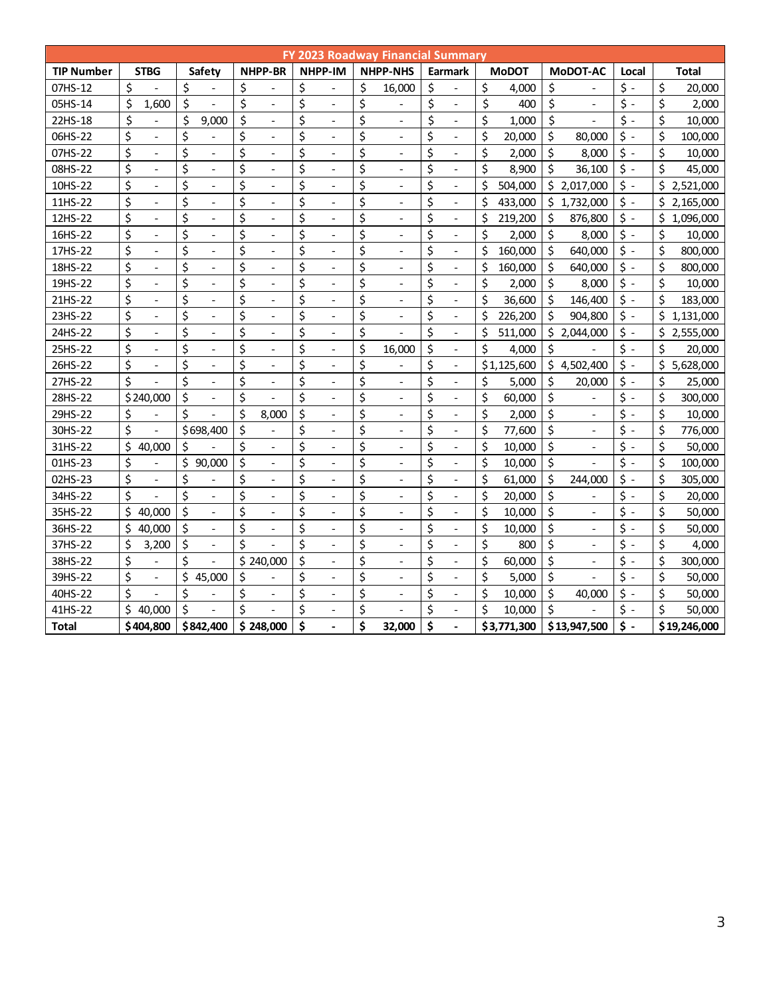|                   | <b>FY 2023 Roadway Financial Summary</b> |                                    |                                |                                    |                                |                                |               |                                |                                    |                 |  |  |  |  |
|-------------------|------------------------------------------|------------------------------------|--------------------------------|------------------------------------|--------------------------------|--------------------------------|---------------|--------------------------------|------------------------------------|-----------------|--|--|--|--|
| <b>TIP Number</b> | <b>STBG</b>                              | Safety                             | <b>NHPP-BR</b>                 | NHPP-IM                            | <b>NHPP-NHS</b>                | <b>Earmark</b>                 | <b>MoDOT</b>  | MoDOT-AC                       | Local                              | Total           |  |  |  |  |
| 07HS-12           | \$                                       | \$                                 | \$                             | \$                                 | \$<br>16,000                   | \$                             | \$<br>4,000   | \$                             | $\zeta$ -                          | \$<br>20,000    |  |  |  |  |
| 05HS-14           | \$<br>1,600                              | \$                                 | \$<br>$\overline{\phantom{0}}$ | \$<br>$\overline{a}$               | \$                             | \$<br>$\overline{\phantom{0}}$ | \$<br>400     | \$<br>$\overline{a}$           | \$ -                               | \$<br>2,000     |  |  |  |  |
| 22HS-18           | \$<br>$\frac{1}{2}$                      | \$<br>9,000                        | \$<br>$\overline{\phantom{a}}$ | \$<br>$\overline{\phantom{a}}$     | \$<br>$\overline{\phantom{a}}$ | \$<br>$\overline{\phantom{0}}$ | \$<br>1,000   | \$                             | \$ -                               | \$<br>10,000    |  |  |  |  |
| 06HS-22           | \$<br>$\overline{a}$                     | \$                                 | \$<br>$\overline{a}$           | \$<br>$\overline{a}$               | \$<br>$\overline{\phantom{a}}$ | \$<br>$\overline{\phantom{0}}$ | \$<br>20,000  | \$<br>80,000                   | $\ddot{\mathsf{S}}$ -              | \$<br>100,000   |  |  |  |  |
| 07HS-22           | \$<br>$\overline{\phantom{a}}$           | \$<br>$\overline{\phantom{a}}$     | \$<br>$\overline{a}$           | \$                                 | \$<br>$\overline{\phantom{a}}$ | \$<br>$\overline{a}$           | \$<br>2,000   | \$<br>8,000                    | $\zeta$ -                          | \$<br>10,000    |  |  |  |  |
| 08HS-22           | \$<br>$\overline{a}$                     | \$<br>$\overline{\phantom{a}}$     | \$<br>$\overline{a}$           | \$<br>$\overline{a}$               | \$<br>$\overline{a}$           | \$<br>$\overline{a}$           | \$<br>8,900   | \$<br>36,100                   | $\zeta$ -                          | \$<br>45,000    |  |  |  |  |
| 10HS-22           | \$<br>$\overline{a}$                     | \$<br>$\overline{a}$               | \$<br>$\overline{a}$           | \$                                 | \$                             | \$<br>$\overline{a}$           | \$<br>504,000 | \$<br>2,017,000                | $\zeta$ -                          | \$<br>2,521,000 |  |  |  |  |
| 11HS-22           | \$                                       | \$                                 | \$                             | \$                                 | \$                             | \$                             | \$<br>433,000 | \$<br>1,732,000                | $\ddot{\mathsf{S}}$ -              | Ś.<br>2,165,000 |  |  |  |  |
| 12HS-22           | \$                                       | \$                                 | \$                             | \$                                 | \$                             | \$                             | \$<br>219,200 | \$<br>876,800                  | $\ddot{\phi}$ -                    | Ś<br>1,096,000  |  |  |  |  |
| 16HS-22           | \$<br>$\qquad \qquad -$                  | \$<br>$\overline{a}$               | \$                             | \$                                 | \$                             | \$<br>$\overline{\phantom{0}}$ | \$<br>2,000   | \$<br>8,000                    | $\ddot{\phi}$ -                    | \$<br>10,000    |  |  |  |  |
| 17HS-22           | \$<br>$\overline{\phantom{a}}$           | \$<br>$\overline{\phantom{a}}$     | \$                             | \$                                 | \$                             | \$<br>$\overline{\phantom{a}}$ | \$<br>160,000 | \$<br>640,000                  | \$<br>$\overline{\phantom{a}}$     | \$<br>800,000   |  |  |  |  |
| 18HS-22           | \$<br>$\overline{\phantom{a}}$           | \$<br>$\overline{\phantom{a}}$     | \$<br>$\overline{\phantom{0}}$ | \$<br>$\overline{\phantom{a}}$     | \$<br>$\overline{\phantom{a}}$ | \$<br>$\overline{\phantom{a}}$ | \$<br>160,000 | \$<br>640.000                  | $\mathsf{S}$ -                     | \$<br>800,000   |  |  |  |  |
| 19HS-22           | \$<br>$\blacksquare$                     | \$<br>$\overline{\phantom{a}}$     | \$<br>$\overline{\phantom{a}}$ | \$<br>$\overline{\phantom{a}}$     | \$<br>$\overline{\phantom{a}}$ | \$<br>$\overline{\phantom{0}}$ | \$<br>2,000   | \$<br>8,000                    | $\mathsf{S}$ -                     | \$<br>10,000    |  |  |  |  |
| 21HS-22           | \$<br>$\overline{\phantom{a}}$           | \$<br>$\overline{\phantom{a}}$     | \$<br>$\overline{a}$           | \$<br>$\overline{a}$               | \$<br>$\overline{a}$           | \$<br>$\overline{\phantom{a}}$ | \$<br>36,600  | \$<br>146,400                  | $\zeta$ -                          | \$<br>183,000   |  |  |  |  |
| 23HS-22           | \$<br>$\overline{\phantom{a}}$           | \$<br>$\overline{\phantom{a}}$     | \$<br>$\overline{\phantom{0}}$ | \$<br>$\overline{\phantom{0}}$     | \$                             | \$<br>$\overline{a}$           | \$<br>226,200 | \$<br>904,800                  | $\zeta$ -                          | \$<br>1,131,000 |  |  |  |  |
| 24HS-22           | \$<br>$\overline{\phantom{a}}$           | \$<br>$\frac{1}{2}$                | \$<br>$\overline{\phantom{0}}$ | \$<br>$\overline{a}$               | \$                             | \$<br>$\overline{\phantom{m}}$ | \$<br>511,000 | \$<br>2,044,000                | $\zeta$ -                          | \$<br>2,555,000 |  |  |  |  |
| 25HS-22           | \$<br>$\bar{\phantom{a}}$                | \$<br>$\frac{1}{2}$                | \$<br>$\overline{\phantom{0}}$ | \$<br>$\overline{\phantom{a}}$     | \$<br>16,000                   | \$<br>$\overline{a}$           | \$<br>4,000   | \$                             | $\dot{\mathsf{S}}$ -               | Ś.<br>20,000    |  |  |  |  |
| 26HS-22           | \$<br>$\overline{\phantom{0}}$           | \$<br>$\overline{\phantom{a}}$     | \$<br>$\overline{\phantom{0}}$ | \$<br>$\overline{a}$               | \$                             | \$<br>$\overline{\phantom{a}}$ | \$1,125,600   | \$<br>4,502,400                | $\zeta$ -                          | \$<br>5,628,000 |  |  |  |  |
| 27HS-22           | \$                                       | \$<br>$\Box$                       | \$<br>$\overline{a}$           | \$<br>$\overline{a}$               | \$                             | \$                             | \$<br>5,000   | \$<br>20,000                   | \$ -                               | \$<br>25,000    |  |  |  |  |
| 28HS-22           | \$240,000                                | \$<br>$\overline{\phantom{a}}$     | \$                             | \$                                 | \$                             | \$                             | \$<br>60,000  | \$                             | \$<br>$\overline{\phantom{a}}$     | \$<br>300,000   |  |  |  |  |
| 29HS-22           | \$                                       | Ś                                  | \$<br>8,000                    | \$                                 | \$<br>$\overline{\phantom{a}}$ | \$<br>$\overline{\phantom{0}}$ | \$<br>2,000   | \$<br>$\overline{\phantom{0}}$ | \$<br>$\overline{\phantom{a}}$     | \$<br>10,000    |  |  |  |  |
| 30HS-22           | \$                                       | \$698,400                          | \$                             | \$                                 | \$<br>$\overline{\phantom{0}}$ | \$                             | \$<br>77,600  | \$<br>$\overline{\phantom{a}}$ | \$<br>$\overline{\phantom{a}}$     | \$<br>776,000   |  |  |  |  |
| 31HS-22           | \$<br>40,000                             | \$                                 | \$<br>$\overline{a}$           | \$<br>$\overline{a}$               | \$                             | \$<br>$\overline{a}$           | \$<br>10.000  | \$<br>$\overline{\phantom{0}}$ | $\ddot{\mathsf{S}}$ -              | \$<br>50,000    |  |  |  |  |
| 01HS-23           | \$                                       | \$<br>90,000                       | \$                             | \$                                 | \$                             | \$                             | \$<br>10,000  | \$                             | \$<br>$\overline{\phantom{a}}$     | \$<br>100,000   |  |  |  |  |
| 02HS-23           | \$<br>$\overline{\phantom{a}}$           | \$                                 | \$                             | \$                                 | \$                             | \$                             | \$<br>61,000  | $\zeta$<br>244,000             | $\ddot{\mathsf{S}}$ -              | \$<br>305,000   |  |  |  |  |
| 34HS-22           | \$                                       | \$                                 | \$                             | \$                                 | \$                             | \$                             | \$<br>20,000  | \$                             | \$<br>$\overline{a}$               | \$<br>20,000    |  |  |  |  |
| 35HS-22           | \$<br>40,000                             | \$<br>$\overline{\phantom{a}}$     | \$                             | \$                                 | \$                             | \$<br>$\qquad \qquad -$        | \$<br>10,000  | \$                             | \$<br>$\qquad \qquad \blacksquare$ | \$<br>50,000    |  |  |  |  |
| 36HS-22           | \$<br>40.000                             | \$<br>$\overline{\phantom{a}}$     | \$<br>$\overline{\phantom{a}}$ | \$                                 | \$<br>$\overline{\phantom{0}}$ | \$<br>$\overline{\phantom{a}}$ | \$<br>10,000  | \$<br>$\overline{\phantom{a}}$ | \$<br>$\overline{\phantom{a}}$     | \$<br>50,000    |  |  |  |  |
| 37HS-22           | \$<br>3,200                              | \$<br>$\overline{\phantom{a}}$     | \$                             | \$<br>$\qquad \qquad \blacksquare$ | \$<br>$\overline{\phantom{a}}$ | \$<br>$\overline{\phantom{0}}$ | \$<br>800     | \$<br>$\overline{\phantom{a}}$ | \$<br>$\overline{\phantom{a}}$     | \$<br>4,000     |  |  |  |  |
| 38HS-22           | \$<br>$\qquad \qquad \blacksquare$       | Ś                                  | \$240,000                      | \$<br>$\overline{\phantom{a}}$     | \$<br>$\overline{a}$           | \$<br>$\overline{\phantom{a}}$ | \$<br>60,000  | \$<br>$\overline{\phantom{a}}$ | \$<br>$\overline{\phantom{a}}$     | \$<br>300,000   |  |  |  |  |
| 39HS-22           | \$<br>$\frac{1}{2}$                      | Ś<br>45,000                        | \$<br>$\overline{a}$           | \$<br>$\overline{\phantom{a}}$     | \$<br>$\overline{a}$           | \$<br>$\overline{\phantom{a}}$ | \$<br>5,000   | \$                             | \$<br>$\overline{\phantom{a}}$     | \$<br>50,000    |  |  |  |  |
| 40HS-22           | Ś<br>$\overline{a}$                      | \$<br>$\qquad \qquad \blacksquare$ | \$<br>$\overline{\phantom{a}}$ | \$<br>$\overline{\phantom{a}}$     | \$                             | \$<br>$\overline{\phantom{m}}$ | \$<br>10,000  | \$<br>40,000                   | \$<br>$\overline{\phantom{a}}$     | \$<br>50,000    |  |  |  |  |
| 41HS-22           | Ś.<br>40.000                             | \$                                 | Ś                              | \$                                 | \$                             | \$<br>$\overline{a}$           | Ś<br>10,000   | \$                             | \$<br>$\overline{\phantom{a}}$     | Ś<br>50,000     |  |  |  |  |
| <b>Total</b>      | \$404,800                                | \$842,400                          | \$248,000                      | \$                                 | \$<br>32,000                   | \$                             | \$3,771,300   | \$13,947,500                   | \$<br>$\blacksquare$               | \$19,246,000    |  |  |  |  |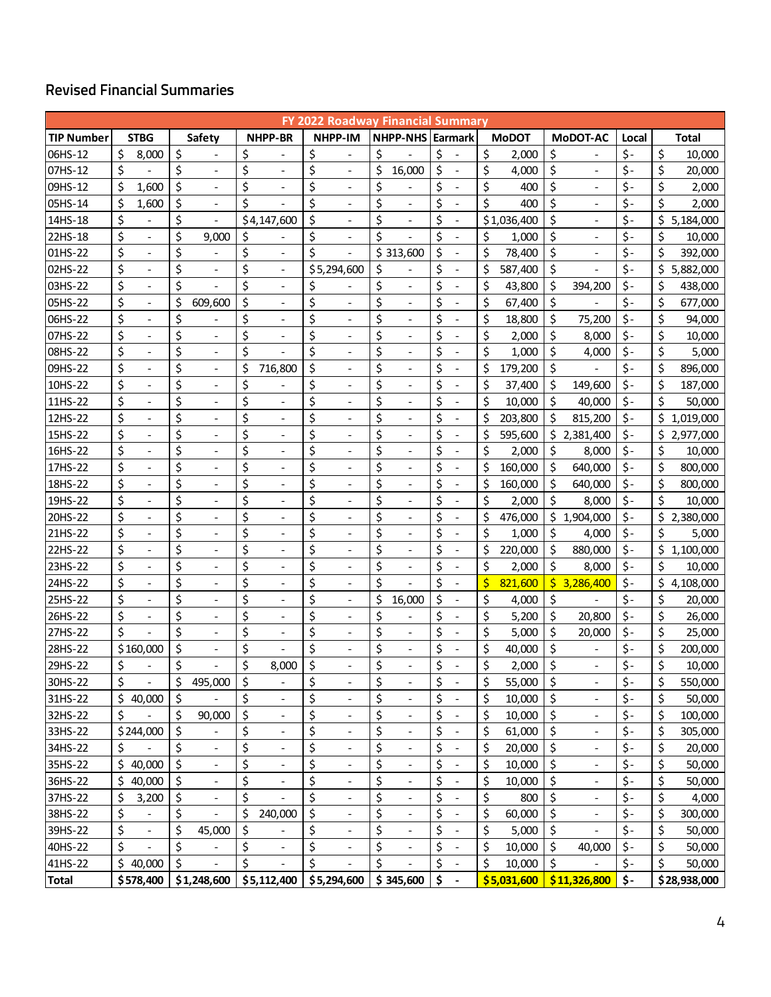# **Revised Financial Summaries**

|                   |                                |         |                              |                                    |                                | <b>FY 2022 Roadway Financial Summary</b> |                                    |               |             |                              |                           |    |              |
|-------------------|--------------------------------|---------|------------------------------|------------------------------------|--------------------------------|------------------------------------------|------------------------------------|---------------|-------------|------------------------------|---------------------------|----|--------------|
| <b>TIP Number</b> | <b>STBG</b>                    |         | Safety                       | <b>NHPP-BR</b>                     | NHPP-IM                        | <b>NHPP-NHS Earmark</b>                  |                                    | <b>MoDOT</b>  |             | <b>MoDOT-AC</b>              | Local                     |    | Total        |
| 06HS-12           | \$<br>8,000                    | \$      |                              | \$                                 | \$                             | \$                                       | \$                                 | \$<br>2,000   | \$          |                              | $\zeta$ -                 | \$ | 10,000       |
| 07HS-12           | \$                             | \$      |                              | \$                                 | \$                             | \$<br>16,000                             | \$                                 | \$<br>4,000   | \$          |                              | \$-                       | \$ | 20,000       |
| 09HS-12           | \$<br>1,600                    | \$      | $\overline{\phantom{a}}$     | \$<br>$\qquad \qquad \blacksquare$ | \$<br>$\overline{\phantom{a}}$ | \$                                       | \$<br>$\overline{\phantom{a}}$     | \$<br>400     | \$          | $\overline{\phantom{a}}$     | $\zeta$ -                 | \$ | 2,000        |
| 05HS-14           | \$<br>1,600                    | \$      | $\overline{\phantom{a}}$     | \$<br>$\overline{a}$               | \$<br>$\overline{a}$           | \$<br>$\overline{\phantom{a}}$           | \$                                 | \$<br>400     | \$          | $\overline{a}$               | $\zeta$ -                 | \$ | 2,000        |
| 14HS-18           | \$                             | \$      | $\qquad \qquad \blacksquare$ | \$4,147,600                        | \$                             | \$<br>$\overline{\phantom{0}}$           | \$<br>$\overline{\phantom{a}}$     | \$1,036,400   | \$          | $\overline{\phantom{a}}$     | $\zeta$ -                 | \$ | 5,184,000    |
| 22HS-18           | \$<br>$\overline{\phantom{a}}$ | \$      | 9,000                        | \$                                 | \$<br>$\overline{a}$           | \$                                       | \$<br>$\qquad \qquad \Box$         | \$<br>1,000   | \$          | $\overline{\phantom{a}}$     | $\zeta$ -                 | \$ | 10,000       |
| 01HS-22           | \$                             | \$      |                              | \$                                 | \$                             | \$313,600                                | \$<br>$\overline{a}$               | \$<br>78,400  | \$          |                              | $\zeta$ -                 | \$ | 392,000      |
| 02HS-22           | \$                             | \$      |                              | \$<br>$\overline{\phantom{0}}$     | \$5,294,600                    | \$                                       | \$                                 | \$<br>587,400 | \$          |                              | \$-                       | \$ | 5,882,000    |
| 03HS-22           | \$<br>$\overline{\phantom{a}}$ | \$      | $\overline{\phantom{0}}$     | \$<br>$\overline{\phantom{a}}$     | \$                             | \$<br>$\overline{\phantom{a}}$           | \$<br>$\overline{\phantom{a}}$     | \$<br>43,800  | \$          | 394,200                      | $\zeta$ -                 | \$ | 438,000      |
| 05HS-22           | \$<br>$\blacksquare$           | \$      | 609,600                      | \$                                 | \$                             | \$<br>$\overline{\phantom{0}}$           | \$                                 | \$<br>67,400  | \$          |                              | $\zeta$ -                 | \$ | 677,000      |
| 06HS-22           | \$<br>$\overline{\phantom{a}}$ | \$      |                              | \$<br>$\overline{\phantom{a}}$     | \$<br>$\overline{\phantom{a}}$ | \$<br>$\overline{\phantom{a}}$           | \$<br>$\overline{\phantom{a}}$     | \$<br>18,800  | \$          | 75,200                       | $\zeta$ -                 | \$ | 94,000       |
| 07HS-22           | \$<br>$\overline{\phantom{a}}$ | \$      | $\overline{\phantom{0}}$     | \$<br>$\overline{\phantom{a}}$     | \$<br>$\overline{a}$           | \$<br>$\overline{\phantom{0}}$           | \$<br>$\overline{\phantom{a}}$     | \$<br>2,000   | \$          | 8,000                        | $\zeta$ -                 | \$ | 10,000       |
| 08HS-22           | \$                             | \$      | $\overline{\phantom{a}}$     | \$                                 | \$                             | \$<br>$\overline{\phantom{a}}$           | \$                                 | \$<br>1,000   | \$          | 4,000                        | \$-                       | \$ | 5,000        |
| 09HS-22           | \$<br>$\overline{\phantom{a}}$ | \$      | $\qquad \qquad -$            | \$<br>716,800                      | \$<br>$\overline{\phantom{a}}$ | \$<br>$\qquad \qquad \blacksquare$       | \$<br>$\overline{\phantom{a}}$     | \$<br>179,200 | \$          |                              | $\zeta$ -                 | \$ | 896,000      |
| 10HS-22           | \$<br>$\overline{\phantom{a}}$ | \$      | $\overline{\phantom{a}}$     | \$                                 | \$<br>$\overline{a}$           | \$<br>$\overline{\phantom{0}}$           | \$<br>$\overline{\phantom{a}}$     | \$<br>37,400  | \$          | 149,600                      | \$-                       | \$ | 187,000      |
| 11HS-22           | \$<br>$\overline{\phantom{a}}$ | \$      | $\overline{\phantom{a}}$     | \$<br>$\overline{\phantom{a}}$     | \$                             | \$<br>$\overline{\phantom{0}}$           | \$<br>$\overline{\phantom{a}}$     | \$<br>10,000  | \$          | 40,000                       | \$-                       | \$ | 50,000       |
| 12HS-22           | \$                             | \$      | $\overline{\phantom{a}}$     | \$<br>$\overline{a}$               | \$<br>$\overline{a}$           | \$<br>$\frac{1}{2}$                      | \$<br>$\qquad \qquad \Box$         | \$<br>203,800 | \$          | 815,200                      | $\zeta$ -                 | \$ | 1,019,000    |
| 15HS-22           | \$                             | \$      |                              | \$                                 | \$                             | \$<br>$\overline{a}$                     | \$<br>$\overline{\phantom{a}}$     | \$<br>595,600 |             | \$2,381,400                  | $\zeta$ -                 | \$ | 2,977,000    |
| 16HS-22           | \$                             | \$      |                              | \$                                 | \$                             | \$<br>$\qquad \qquad \blacksquare$       | \$                                 | \$<br>2,000   | \$          | 8,000                        | \$-                       | \$ | 10,000       |
| 17HS-22           | \$<br>$\overline{\phantom{a}}$ | \$      | $\overline{\phantom{a}}$     | \$<br>$\overline{\phantom{a}}$     | \$<br>$\overline{\phantom{a}}$ | \$<br>$\overline{\phantom{a}}$           | \$<br>$\overline{\phantom{a}}$     | \$<br>160,000 | \$          | 640,000                      | $\zeta$ -                 | \$ | 800,000      |
| 18HS-22           | \$                             | \$      | $\overline{\phantom{a}}$     | \$                                 | \$                             | \$<br>$\overline{\phantom{a}}$           | \$                                 | \$<br>160,000 | \$          | 640,000                      | $\zeta$ -                 | \$ | 800,000      |
| 19HS-22           | \$<br>$\overline{\phantom{a}}$ | \$      | $\overline{\phantom{a}}$     | \$<br>$\overline{\phantom{a}}$     | \$<br>$\overline{a}$           | \$<br>$\overline{\phantom{a}}$           | \$<br>$\overline{\phantom{a}}$     | \$<br>2,000   | \$          | 8,000                        | \$-                       | \$ | 10,000       |
| 20HS-22           | \$                             | \$      |                              | \$<br>$\overline{a}$               | \$                             | \$<br>$\overline{a}$                     | \$<br>$\overline{\phantom{a}}$     | \$<br>476,000 | \$          | 1,904,000                    | $\zeta$ -                 | \$ | 2,380,000    |
| 21HS-22           | \$                             | \$      | $\overline{\phantom{a}}$     | \$<br>$\qquad \qquad \blacksquare$ | \$                             | \$<br>$\qquad \qquad \blacksquare$       | \$                                 | \$<br>1,000   | \$          | 4,000                        | $\zeta$ -                 | \$ | 5,000        |
| 22HS-22           | \$<br>$\overline{\phantom{a}}$ | \$      | $\overline{\phantom{a}}$     | \$<br>$\overline{\phantom{a}}$     | \$<br>$\overline{\phantom{a}}$ | \$<br>$\overline{\phantom{a}}$           | \$<br>$\overline{\phantom{a}}$     | \$<br>220,000 | \$          | 880,000                      | \$-                       | Ś  | 1,100,000    |
| 23HS-22           | \$<br>$\overline{\phantom{a}}$ | \$      | $\overline{\phantom{a}}$     | \$<br>$\overline{\phantom{a}}$     | \$                             | \$<br>$\frac{1}{2}$                      | \$<br>$\overline{\phantom{a}}$     | \$<br>2,000   | \$          | 8,000                        | $\zeta$ -                 | \$ | 10,000       |
| 24HS-22           | \$                             | \$      |                              | \$<br>$\overline{a}$               | \$                             | \$                                       | \$<br>$\qquad \qquad \blacksquare$ | \$<br>821,600 | $\varsigma$ | 3,286,400                    | \$-                       | \$ | 4,108,000    |
| 25HS-22           | \$                             | \$      | $\overline{\phantom{0}}$     | \$<br>$\overline{a}$               | \$<br>$\overline{\phantom{a}}$ | \$<br>16,000                             | \$<br>$\overline{\phantom{a}}$     | \$<br>4,000   | \$          |                              | $\zeta$ -                 | \$ | 20,000       |
| 26HS-22           | \$                             | \$      |                              | \$                                 | \$                             | \$                                       | \$                                 | \$<br>5,200   | \$          | 20,800                       | $\zeta$ -                 | \$ | 26.000       |
| 27HS-22           | \$                             | \$      | $\overline{\phantom{a}}$     | \$<br>$\overline{\phantom{a}}$     | \$<br>$\overline{\phantom{a}}$ | \$<br>$\overline{\phantom{a}}$           | \$<br>$\overline{\phantom{a}}$     | \$<br>5,000   | \$          | 20,000                       | \$-                       | \$ | 25,000       |
| 28HS-22           | \$160,000                      | \$      | $\overline{\phantom{0}}$     | \$                                 | \$<br>$\overline{a}$           | \$<br>$\overline{\phantom{0}}$           | \$                                 | \$<br>40,000  | \$          |                              | \$-                       | \$ | 200,000      |
| 29HS-22           | \$                             | \$      |                              | \$<br>8,000                        | \$                             | \$                                       | \$                                 | \$<br>2,000   | \$          |                              | $\zeta$ -                 | \$ | 10,000       |
| 30HS-22           | \$<br>$\overline{\phantom{a}}$ | \$      | 495,000                      | \$<br>$\overline{\phantom{a}}$     | \$                             | \$<br>$\qquad \qquad \blacksquare$       | \$                                 | \$<br>55,000  | $\zeta$     | $\overline{\phantom{a}}$     | \$-                       | \$ | 550,000      |
| 31HS-22           | \$40,000                       | \$      |                              | \$                                 | \$                             | \$                                       | \$                                 | \$<br>10,000  | $\zeta$     |                              | $\zeta$ -                 | \$ | 50,000       |
| 32HS-22           | \$                             | \$      | 90,000                       | \$<br>$\qquad \qquad \blacksquare$ | \$<br>$\overline{\phantom{0}}$ | \$<br>$\overline{\phantom{a}}$           | \$                                 | \$<br>10,000  | \$          | $\qquad \qquad \blacksquare$ | \$-                       | \$ | 100,000      |
| 33HS-22           | \$244,000                      | \$      |                              | \$<br>$\qquad \qquad \blacksquare$ | \$<br>$\overline{\phantom{a}}$ | \$<br>$\overline{\phantom{a}}$           | \$<br>$\qquad \qquad \blacksquare$ | \$<br>61,000  | \$          | $\qquad \qquad \blacksquare$ | $\zeta$ -                 | \$ | 305,000      |
| 34HS-22           | \$                             | \$      | $\overline{\phantom{a}}$     | \$<br>$\qquad \qquad \blacksquare$ | \$                             | \$<br>$\overline{\phantom{0}}$           | \$                                 | \$<br>20,000  | \$          | $\qquad \qquad \blacksquare$ | $\overline{\mathsf{S}}$ - | \$ | 20,000       |
| 35HS-22           | \$40,000                       | \$      |                              | \$<br>$\qquad \qquad \blacksquare$ | \$                             | \$                                       | \$                                 | \$<br>10,000  | \$          |                              | \$-                       | \$ | 50,000       |
| 36HS-22           | \$40,000                       | $\zeta$ | $\qquad \qquad -$            | \$<br>$\qquad \qquad \blacksquare$ | \$<br>$\overline{\phantom{a}}$ | \$<br>$\qquad \qquad \blacksquare$       | \$<br>$\overline{\phantom{a}}$     | \$<br>10,000  | \$          | $\overline{\phantom{a}}$     | $\zeta$ -                 | \$ | 50,000       |
| 37HS-22           | \$<br>3,200                    | \$      | $\overline{\phantom{0}}$     | \$                                 | \$                             | \$                                       | \$                                 | \$<br>800     | \$          | $\overline{a}$               | $\zeta$ -                 | \$ | 4,000        |
| 38HS-22           | \$<br>$\overline{\phantom{a}}$ | \$      | $\overline{\phantom{a}}$     | \$<br>240,000                      | \$<br>$\overline{\phantom{a}}$ | \$<br>$\overline{\phantom{a}}$           | \$<br>$\overline{\phantom{a}}$     | \$<br>60,000  | \$          | $\overline{\phantom{a}}$     | \$-                       | \$ | 300,000      |
| 39HS-22           | \$<br>$\overline{\phantom{a}}$ | \$      | 45,000                       | \$                                 | \$<br>$\overline{a}$           | \$<br>$\overline{\phantom{0}}$           | \$                                 | \$<br>5,000   | \$          |                              | $\zeta$ -                 | \$ | 50,000       |
| 40HS-22           | \$                             | \$      |                              | \$<br>$\overline{\phantom{a}}$     | \$                             | \$                                       | \$                                 | \$<br>10,000  | \$          | 40,000                       | $\zeta$ -                 | \$ | 50,000       |
| 41HS-22           | \$40,000                       | \$      |                              | \$                                 | \$                             | \$                                       | \$<br>$\qquad \qquad \blacksquare$ | \$<br>10,000  | \$          |                              | $\zeta$ -                 | \$ | 50,000       |
| <b>Total</b>      | \$578,400                      |         | \$1,248,600                  | \$5,112,400                        | \$5,294,600                    | \$345,600                                | \$                                 | \$5,031,600   |             | \$11,326,800                 | $\mathsf{\$}$             |    | \$28,938,000 |